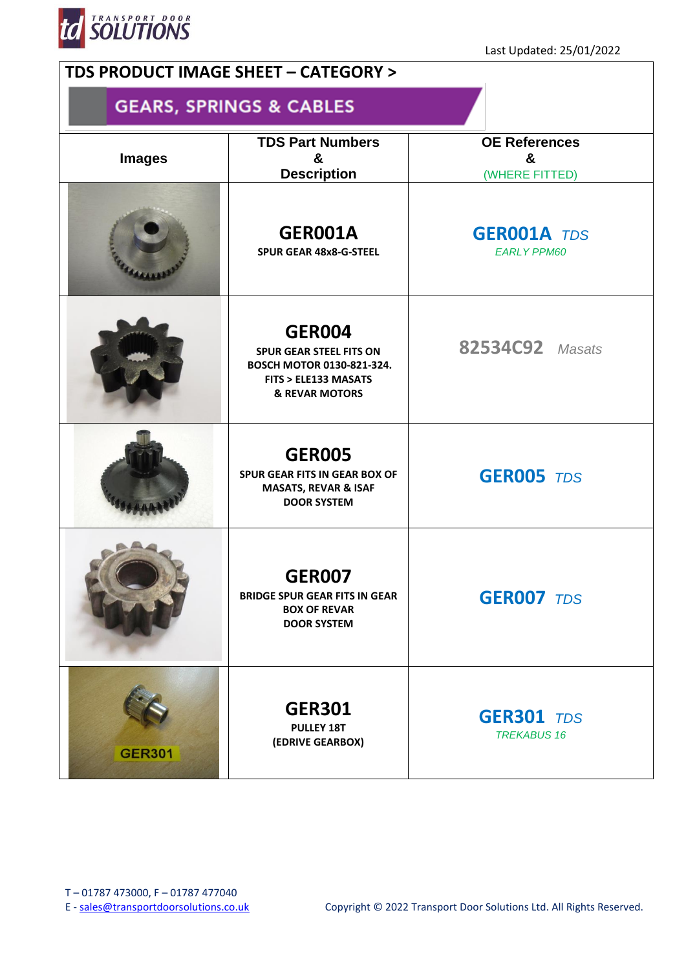

## **TDS PRODUCT IMAGE SHEET – CATEGORY > GEARS, SPRINGS & CABLES TDS Part Numbers OE References Images & & Description** (WHERE FITTED) **GER001A GER001A** *TDS* **SPUR GEAR 48x8-G-STEEL** *EARLY PPM60* **GER004 82534C92** *Masats* **SPUR GEAR STEEL FITS ON BOSCH MOTOR 0130-821-324. FITS > ELE133 MASATS & REVAR MOTORS GER005 SPUR GEAR FITS IN GEAR BOX OF GER005** *TDS* **MASATS, REVAR & ISAF DOOR SYSTEM GER007 BRIDGE SPUR GEAR FITS IN GEAR GER007** *TDS* **BOX OF REVAR DOOR SYSTEM GER301 GER301** *TDS* **PULLEY 18T** *TREKABUS 16***(EDRIVE GEARBOX) GER301**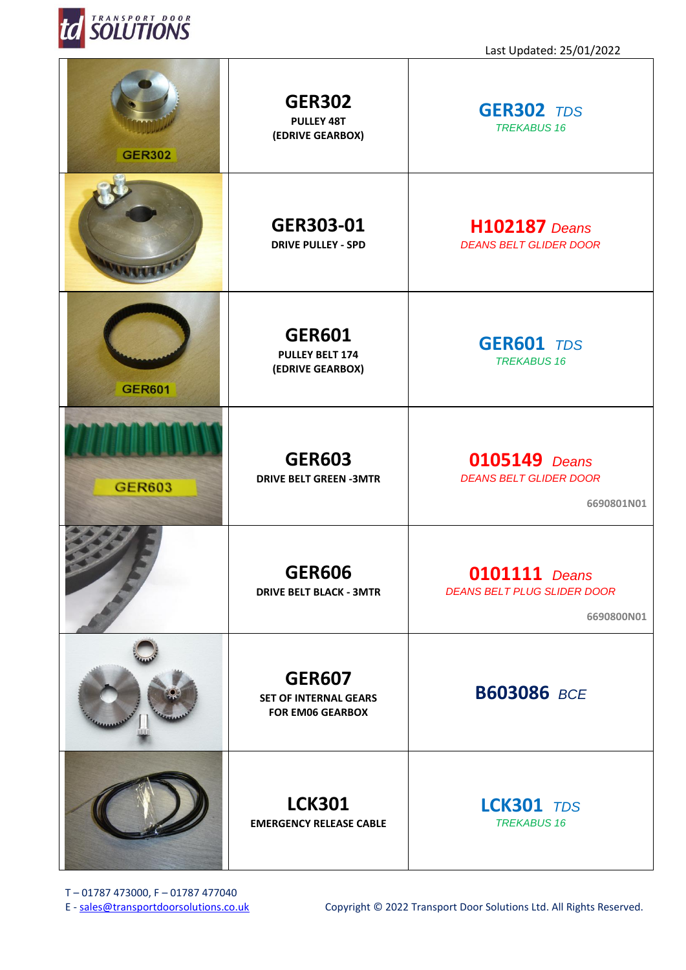

| <b>GER302</b> | <b>GER302</b><br><b>PULLEY 48T</b><br>(EDRIVE GEARBOX)                   | <b>GER302 TDS</b><br><b>TREKABUS 16</b>                                  |
|---------------|--------------------------------------------------------------------------|--------------------------------------------------------------------------|
|               | GER303-01<br><b>DRIVE PULLEY - SPD</b>                                   | <b>H102187</b> Deans<br><b>DEANS BELT GLIDER DOOR</b>                    |
| <b>GER601</b> | <b>GER601</b><br><b>PULLEY BELT 174</b><br>(EDRIVE GEARBOX)              | <b>GER601 TDS</b><br><b>TREKABUS 16</b>                                  |
| <b>GER603</b> | <b>GER603</b><br><b>DRIVE BELT GREEN -3MTR</b>                           | <b>0105149</b> Deans<br><b>DEANS BELT GLIDER DOOR</b><br>6690801N01      |
|               | <b>GER606</b><br><b>DRIVE BELT BLACK - 3MTR</b>                          | <b>0101111</b> Deans<br><b>DEANS BELT PLUG SLIDER DOOR</b><br>6690800N01 |
|               | <b>GER607</b><br><b>SET OF INTERNAL GEARS</b><br><b>FOR EM06 GEARBOX</b> | <b>B603086 BCE</b>                                                       |
|               | <b>LCK301</b><br><b>EMERGENCY RELEASE CABLE</b>                          | <b>LCK301 TDS</b><br><b>TREKABUS 16</b>                                  |

T – 01787 473000, F – 01787 477040<br>E - sales@transportdoorsolutions.co.uk

Copyright © 2022 Transport Door Solutions Ltd. All Rights Reserved.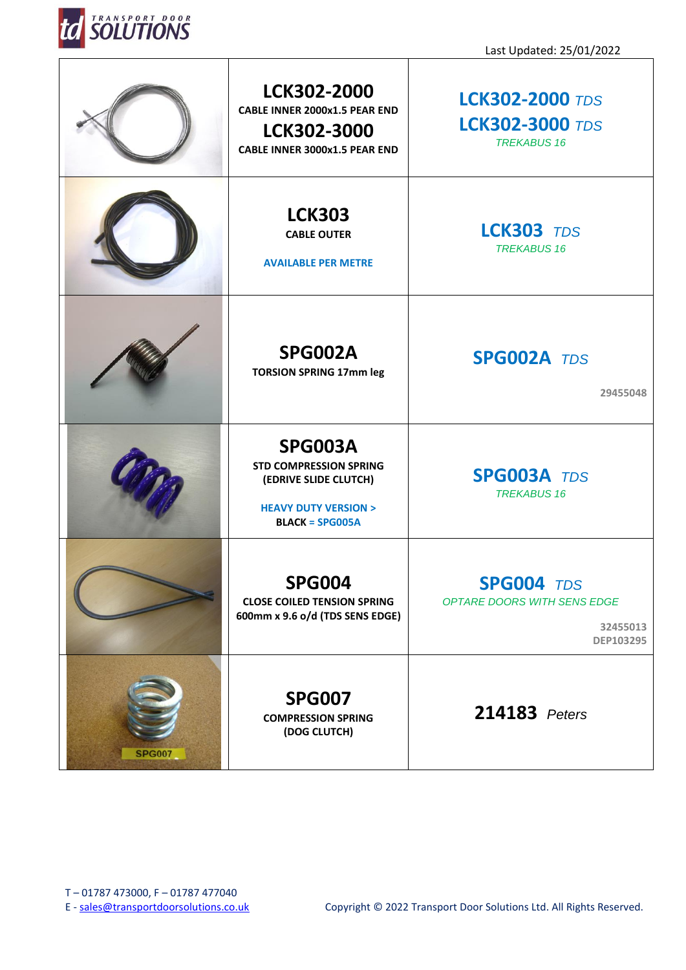

|               | LCK302-2000<br>CABLE INNER 2000x1.5 PEAR END<br>LCK302-3000<br><b>CABLE INNER 3000x1.5 PEAR END</b>                      | <b>LCK302-2000 TDS</b><br><b>LCK302-3000 TDS</b><br><b>TREKABUS 16</b>           |
|---------------|--------------------------------------------------------------------------------------------------------------------------|----------------------------------------------------------------------------------|
|               | <b>LCK303</b><br><b>CABLE OUTER</b><br><b>AVAILABLE PER METRE</b>                                                        | <b>LCK303</b> TDS<br><b>TREKABUS 16</b>                                          |
|               | <b>SPG002A</b><br><b>TORSION SPRING 17mm leg</b>                                                                         | <b>SPG002A TDS</b><br>29455048                                                   |
|               | SPG003A<br><b>STD COMPRESSION SPRING</b><br>(EDRIVE SLIDE CLUTCH)<br><b>HEAVY DUTY VERSION &gt;</b><br>$BLACK = SPG005A$ | <b>SPG003A TDS</b><br><b>TREKABUS 16</b>                                         |
|               | <b>SPG004</b><br><b>CLOSE COILED TENSION SPRING</b><br>600mm x 9.6 o/d (TDS SENS EDGE)                                   | <b>SPG004 TDS</b><br>OPTARE DOORS WITH SENS EDGE<br>32455013<br><b>DEP103295</b> |
| <b>SPG007</b> | <b>SPG007</b><br><b>COMPRESSION SPRING</b><br>(DOG CLUTCH)                                                               | 214183 Peters                                                                    |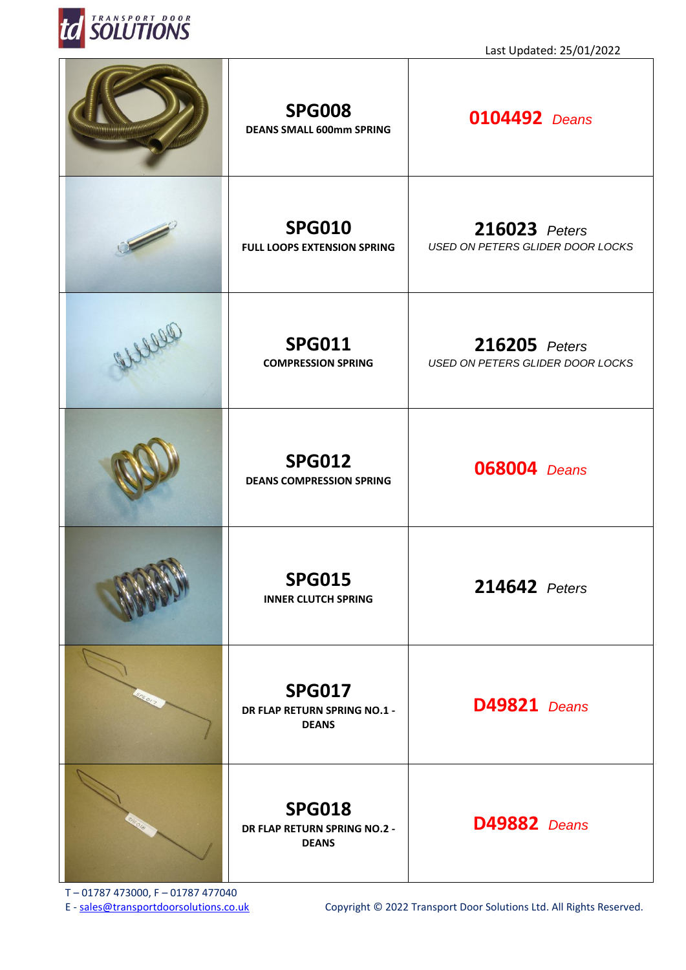

| <b>SPG008</b><br><b>DEANS SMALL 600mm SPRING</b>              | <b>0104492</b> Deans                                     |
|---------------------------------------------------------------|----------------------------------------------------------|
| <b>SPG010</b><br><b>FULL LOOPS EXTENSION SPRING</b>           | 216023 Peters<br><b>USED ON PETERS GLIDER DOOR LOCKS</b> |
| <b>SPG011</b><br><b>COMPRESSION SPRING</b>                    | 216205 Peters<br><b>USED ON PETERS GLIDER DOOR LOCKS</b> |
| <b>SPG012</b><br><b>DEANS COMPRESSION SPRING</b>              | <b>068004</b> Deans                                      |
| <b>SPG015</b><br><b>INNER CLUTCH SPRING</b>                   | 214642 Peters                                            |
| <b>SPG017</b><br>DR FLAP RETURN SPRING NO.1 -<br><b>DEANS</b> | <b>D49821</b> Deans                                      |
| <b>SPG018</b><br>DR FLAP RETURN SPRING NO.2 -<br><b>DEANS</b> | <b>D49882</b> Deans                                      |

T – 01787 473000, F – 01787 477040<br>E - sales@transportdoorsolutions.co.uk

Copyright © 2022 Transport Door Solutions Ltd. All Rights Reserved.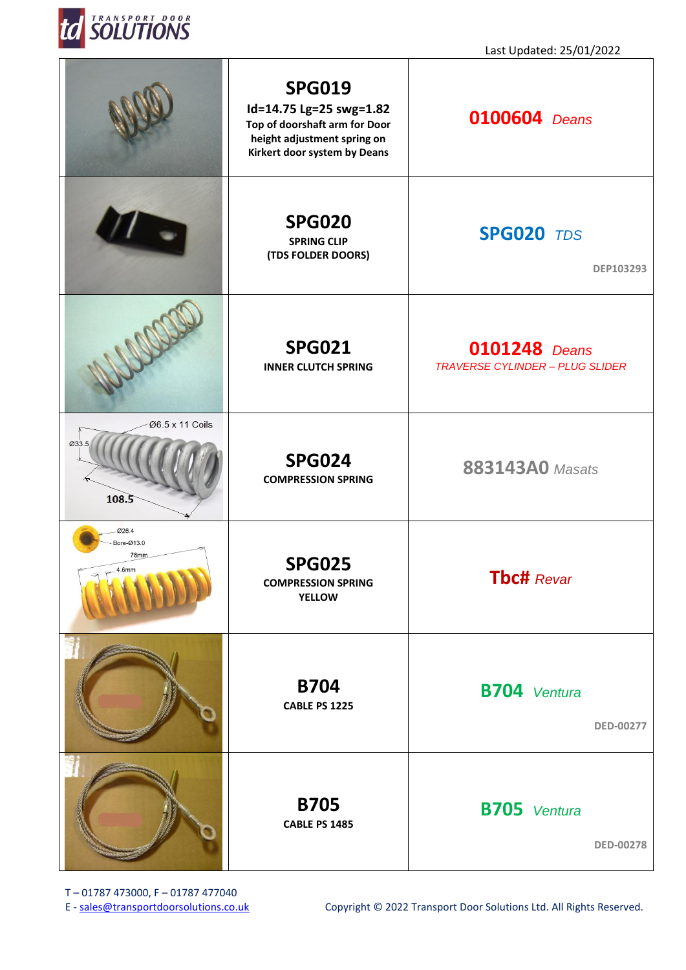

|                                      | <b>SPG019</b><br>Id=14.75 Lg=25 swg=1.82<br>Top of doorshaft arm for Door<br>height adjustment spring on<br>Kirkert door system by Deans | <b>0100604</b> Deans                                           |
|--------------------------------------|------------------------------------------------------------------------------------------------------------------------------------------|----------------------------------------------------------------|
|                                      | <b>SPG020</b><br><b>SPRING CLIP</b><br>(TDS FOLDER DOORS)                                                                                | <b>SPG020 TDS</b><br>DEP103293                                 |
|                                      | <b>SPG021</b><br><b>INNER CLUTCH SPRING</b>                                                                                              | <b>0101248</b> Deans<br><b>TRAVERSE CYLINDER - PLUG SLIDER</b> |
| Ø6.5 x 11 Coils<br>Ø33.5<br>108.5    | <b>SPG024</b><br><b>COMPRESSION SPRING</b>                                                                                               | <b>883143A0</b> Masats                                         |
| 026.4<br>Bore-Ø13.0<br>76mm<br>4.6mm | <b>SPG025</b><br><b>COMPRESSION SPRING</b><br><b>YELLOW</b>                                                                              | <b>Tbc#</b> Revar                                              |
|                                      | <b>B704</b><br><b>CABLE PS 1225</b>                                                                                                      | <b>B704</b> Ventura<br><b>DED-00277</b>                        |
|                                      | <b>B705</b><br>CABLE PS 1485                                                                                                             | <b>B705</b> Ventura<br><b>DED-00278</b>                        |

T – 01787 473000, F – 01787 477040<br>E - sales@transportdoorsolutions.co.uk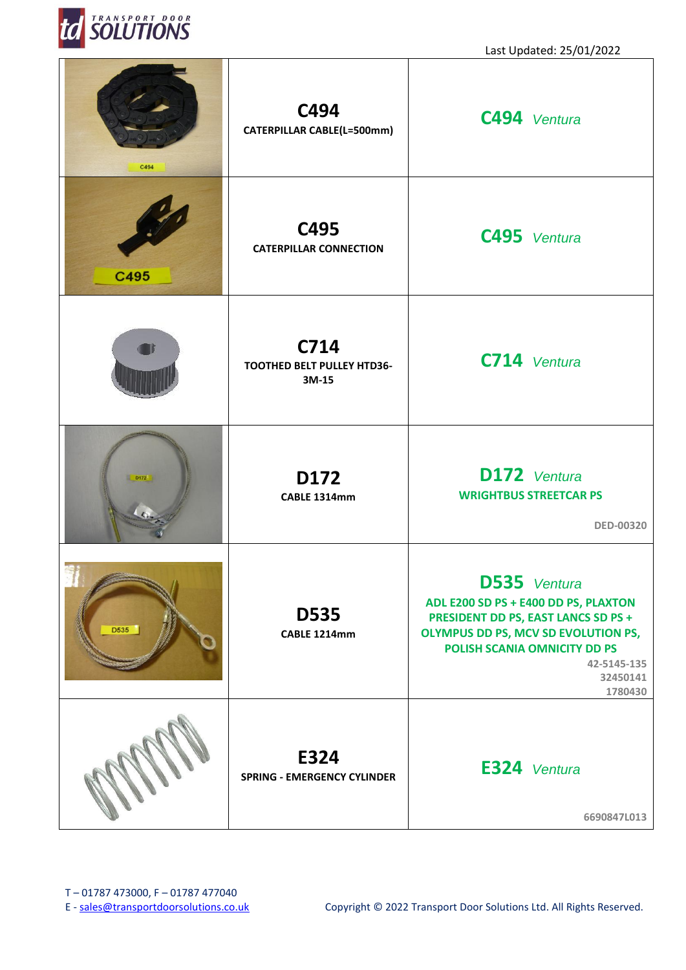

| C494 | C494<br><b>CATERPILLAR CABLE(L=500mm)</b>          | C494 Ventura                                                                                                                                                                                                    |
|------|----------------------------------------------------|-----------------------------------------------------------------------------------------------------------------------------------------------------------------------------------------------------------------|
| C495 | C495<br><b>CATERPILLAR CONNECTION</b>              | C495 Ventura                                                                                                                                                                                                    |
|      | C714<br><b>TOOTHED BELT PULLEY HTD36-</b><br>3M-15 | C714 Ventura                                                                                                                                                                                                    |
| D172 | D172<br>CABLE 1314mm                               | D172 Ventura<br><b>WRIGHTBUS STREETCAR PS</b><br><b>DED-00320</b>                                                                                                                                               |
| D535 | <b>D535</b><br>CABLE 1214mm                        | <b>D535</b> Ventura<br>ADL E200 SD PS + E400 DD PS, PLAXTON<br>PRESIDENT DD PS, EAST LANCS SD PS +<br>OLYMPUS DD PS, MCV SD EVOLUTION PS,<br>POLISH SCANIA OMNICITY DD PS<br>42-5145-135<br>32450141<br>1780430 |
|      | E324<br><b>SPRING - EMERGENCY CYLINDER</b>         | E324 Ventura<br>6690847L013                                                                                                                                                                                     |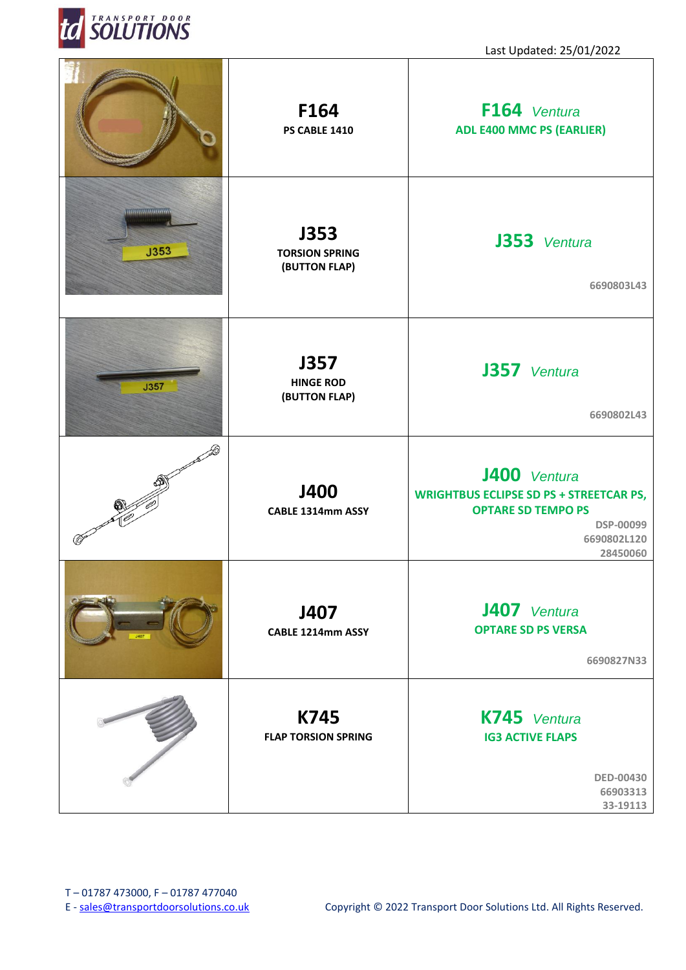

П

|                                | F164<br>PS CABLE 1410                            | F164 Ventura<br><b>ADL E400 MMC PS (EARLIER)</b>                                                                                           |
|--------------------------------|--------------------------------------------------|--------------------------------------------------------------------------------------------------------------------------------------------|
| ,,,,,,,,,,,,,,,,,,,,,,<br>J353 | J353<br><b>TORSION SPRING</b><br>(BUTTON FLAP)   | J353 Ventura<br>6690803L43                                                                                                                 |
| J357                           | <b>J357</b><br><b>HINGE ROD</b><br>(BUTTON FLAP) | J357 Ventura<br>6690802L43                                                                                                                 |
|                                | J400<br>CABLE 1314mm ASSY                        | J400 Ventura<br><b>WRIGHTBUS ECLIPSE SD PS + STREETCAR PS,</b><br><b>OPTARE SD TEMPO PS</b><br><b>DSP-00099</b><br>6690802L120<br>28450060 |
|                                | J407<br>CABLE 1214mm ASSY                        | J407 Ventura<br><b>OPTARE SD PS VERSA</b><br>6690827N33                                                                                    |
|                                | K745<br><b>FLAP TORSION SPRING</b>               | K745 Ventura<br><b>IG3 ACTIVE FLAPS</b><br><b>DED-00430</b><br>66903313<br>33-19113                                                        |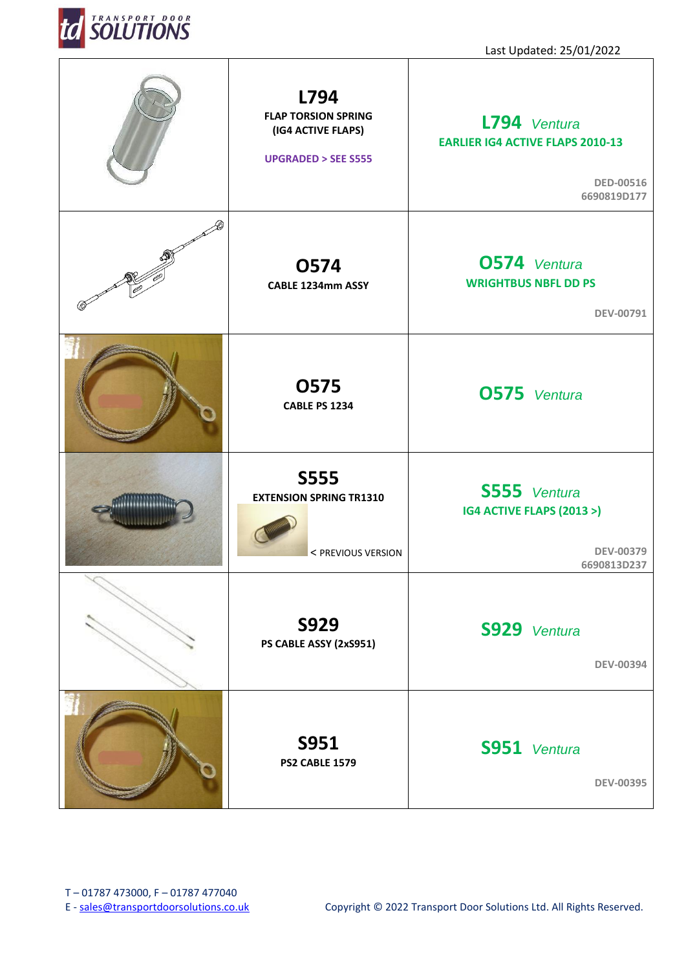

| L794<br><b>FLAP TORSION SPRING</b><br>(IG4 ACTIVE FLAPS)<br><b>UPGRADED &gt; SEE S555</b> | L794 Ventura<br><b>EARLIER IG4 ACTIVE FLAPS 2010-13</b><br><b>DED-00516</b><br>6690819D177 |
|-------------------------------------------------------------------------------------------|--------------------------------------------------------------------------------------------|
| <b>0574</b><br>CABLE 1234mm ASSY                                                          | <b>0574</b> Ventura<br><b>WRIGHTBUS NBFL DD PS</b><br>DEV-00791                            |
| <b>0575</b><br><b>CABLE PS 1234</b>                                                       | <b>0575</b> Ventura                                                                        |
| <b>S555</b><br><b>EXTENSION SPRING TR1310</b><br>< PREVIOUS VERSION                       | S555 Ventura<br>IG4 ACTIVE FLAPS (2013 >)<br><b>DEV-00379</b><br>6690813D237               |
| <b>S929</b><br>PS CABLE ASSY (2xS951)                                                     | S929 Ventura<br><b>DEV-00394</b>                                                           |
| <b>S951</b><br><b>PS2 CABLE 1579</b>                                                      | S951 Ventura<br><b>DEV-00395</b>                                                           |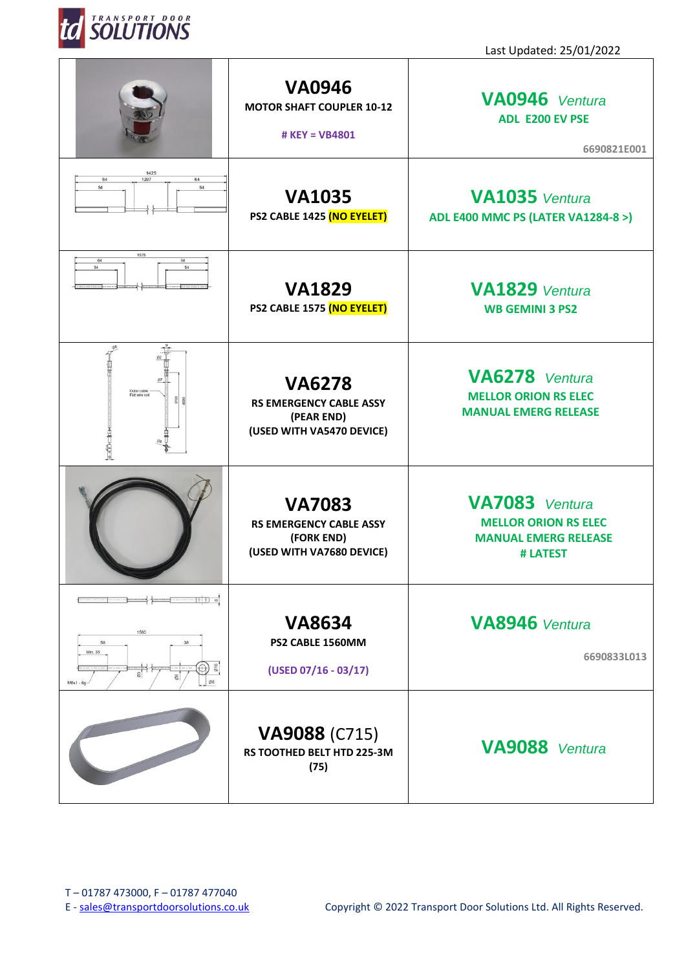

|                                                    | <b>VA0946</b><br><b>MOTOR SHAFT COUPLER 10-12</b><br># KEY = VB4801                        | VA0946 Ventura<br><b>ADL E200 EV PSE</b><br>6690821E001                                  |
|----------------------------------------------------|--------------------------------------------------------------------------------------------|------------------------------------------------------------------------------------------|
| 1425<br>1297<br>64<br>64<br>54<br>54               | <b>VA1035</b><br>PS2 CABLE 1425 (NO EYELET)                                                | <b>VA1035</b> Ventura<br><b>ADL E400 MMC PS (LATER VA1284-8 &gt;)</b>                    |
| 1575<br>64<br>64<br>54<br>54                       | <b>VA1829</b><br>PS2 CABLE 1575 (NO EYELET)                                                | <b>VA1829</b> Ventura<br><b>WB GEMINI 3 PS2</b>                                          |
| Outer cable<br>Flat wire coil<br>$rac{5700}{2000}$ | <b>VA6278</b><br><b>RS EMERGENCY CABLE ASSY</b><br>(PEAR END)<br>(USED WITH VA5470 DEVICE) | VA6278 Ventura<br><b>MELLOR ORION RS ELEC</b><br><b>MANUAL EMERG RELEASE</b>             |
|                                                    | <b>VA7083</b><br><b>RS EMERGENCY CABLE ASSY</b><br>(FORK END)<br>(USED WITH VA7680 DEVICE) | VA7083 Ventura<br><b>MELLOR ORION RS ELEC</b><br><b>MANUAL EMERG RELEASE</b><br># LATEST |
| 1560<br>58<br>38<br>Min. 35<br>M6x1                | <b>VA8634</b><br>PS2 CABLE 1560MM<br>$(USED 07/16 - 03/17)$                                | <b>VA8946</b> Ventura<br>6690833L013                                                     |
|                                                    | <b>VA9088 (C715)</b><br>RS TOOTHED BELT HTD 225-3M<br>(75)                                 | <b>VA9088</b> Ventura                                                                    |